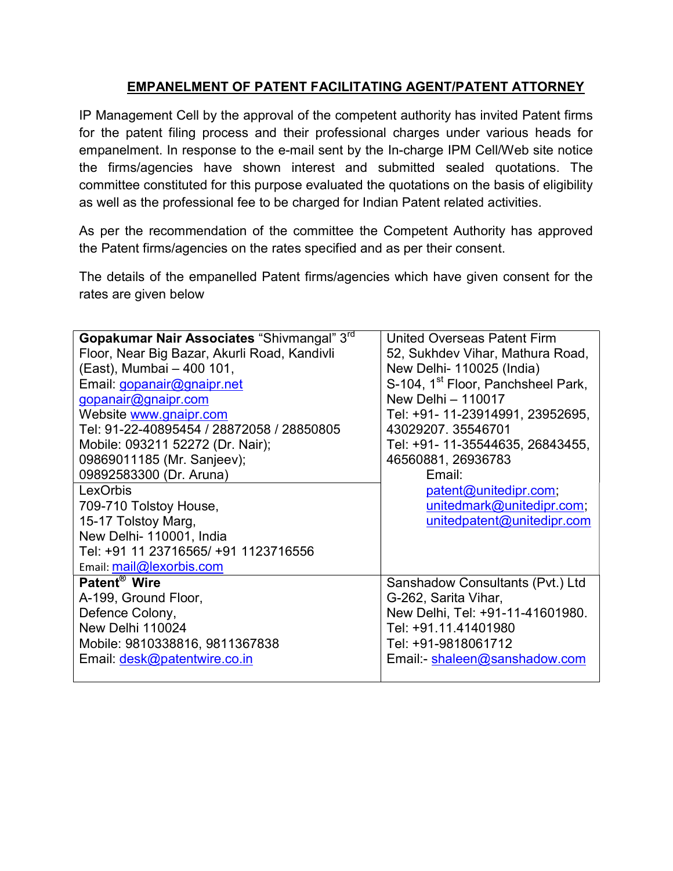## EMPANELMENT OF PATENT FACILITATING AGENT/PATENT ATTORNEY

IP Management Cell by the approval of the competent authority has invited Patent firms for the patent filing process and their professional charges under various heads for empanelment. In response to the e-mail sent by the In-charge IPM Cell/Web site notice the firms/agencies have shown interest and submitted sealed quotations. The committee constituted for this purpose evaluated the quotations on the basis of eligibility as well as the professional fee to be charged for Indian Patent related activities.

As per the recommendation of the committee the Competent Authority has approved the Patent firms/agencies on the rates specified and as per their consent.

The details of the empanelled Patent firms/agencies which have given consent for the rates are given below

| Gopakumar Nair Associates "Shivmangal" 3 <sup>rd</sup>                                                                                       | <b>United Overseas Patent Firm</b>                      |
|----------------------------------------------------------------------------------------------------------------------------------------------|---------------------------------------------------------|
| Floor, Near Big Bazar, Akurli Road, Kandivli                                                                                                 | 52, Sukhdev Vihar, Mathura Road,                        |
| (East), Mumbai - 400 101,                                                                                                                    | New Delhi- 110025 (India)                               |
| Email: gopanair@gnaipr.net                                                                                                                   | S-104, 1 <sup>st</sup> Floor, Panchsheel Park,          |
| gopanair@gnaipr.com                                                                                                                          | New Delhi - 110017                                      |
| Website www.gnaipr.com                                                                                                                       | Tel: +91- 11-23914991, 23952695,                        |
| Tel: 91-22-40895454 / 28872058 / 28850805                                                                                                    | 43029207.35546701                                       |
| Mobile: 093211 52272 (Dr. Nair);                                                                                                             | Tel: +91- 11-35544635, 26843455,                        |
| 09869011185 (Mr. Sanjeev);                                                                                                                   | 46560881, 26936783                                      |
| 09892583300 (Dr. Aruna)                                                                                                                      | Email:                                                  |
| LexOrbis                                                                                                                                     | patent@unitedipr.com;                                   |
|                                                                                                                                              |                                                         |
| 709-710 Tolstoy House,<br>15-17 Tolstoy Marg,<br>New Delhi-110001, India<br>Tel: +91 11 23716565/ +91 1123716556<br>Email: mail@lexorbis.com | unitedmark@unitedipr.com;<br>unitedpatent@unitedipr.com |
| Patent <sup>®</sup> Wire                                                                                                                     | Sanshadow Consultants (Pvt.) Ltd                        |
| A-199, Ground Floor,                                                                                                                         | G-262, Sarita Vihar,                                    |
| Defence Colony,                                                                                                                              | New Delhi, Tel: +91-11-41601980.                        |
| New Delhi 110024                                                                                                                             | Tel: +91.11.41401980                                    |
| Mobile: 9810338816, 9811367838                                                                                                               | Tel: +91-9818061712                                     |
| Email: desk@patentwire.co.in                                                                                                                 | Email:- shaleen@sanshadow.com                           |